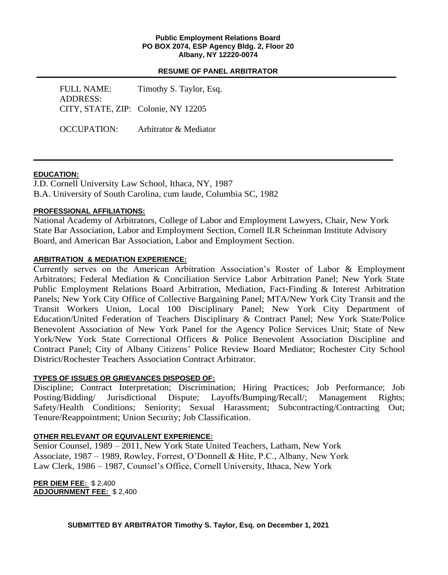#### **Public Employment Relations Board PO BOX 2074, ESP Agency Bldg. 2, Floor 20 Albany, NY 12220-0074**

### **RESUME OF PANEL ARBITRATOR**

FULL NAME: Timothy S. Taylor, Esq. ADDRESS: CITY, STATE, ZIP: Colonie, NY 12205

OCCUPATION: Arbitrator & Mediator

# **EDUCATION:**

J.D. Cornell University Law School, Ithaca, NY, 1987 B.A. University of South Carolina, cum laude, Columbia SC, 1982

# **PROFESSIONAL AFFILIATIONS:**

National Academy of Arbitrators, College of Labor and Employment Lawyers, Chair, New York State Bar Association, Labor and Employment Section, Cornell ILR Scheinman Institute Advisory Board, and American Bar Association, Labor and Employment Section.

# **ARBITRATION & MEDIATION EXPERIENCE:**

Currently serves on the American Arbitration Association's Roster of Labor & Employment Arbitrators; Federal Mediation & Conciliation Service Labor Arbitration Panel; New York State Public Employment Relations Board Arbitration, Mediation, Fact-Finding & Interest Arbitration Panels; New York City Office of Collective Bargaining Panel; MTA/New York City Transit and the Transit Workers Union, Local 100 Disciplinary Panel; New York City Department of Education/United Federation of Teachers Disciplinary & Contract Panel; New York State/Police Benevolent Association of New York Panel for the Agency Police Services Unit; State of New York/New York State Correctional Officers & Police Benevolent Association Discipline and Contract Panel; City of Albany Citizens' Police Review Board Mediator; Rochester City School District/Rochester Teachers Association Contract Arbitrator.

### **TYPES OF ISSUES OR GRIEVANCES DISPOSED OF:**

Discipline; Contract Interpretation; Discrimination; Hiring Practices; Job Performance; Job Posting/Bidding/ Jurisdictional Dispute; Layoffs/Bumping/Recall/; Management Rights; Safety/Health Conditions; Seniority; Sexual Harassment; Subcontracting/Contracting Out; Tenure/Reappointment; Union Security; Job Classification.

# **OTHER RELEVANT OR EQUIVALENT EXPERIENCE:**

Senior Counsel, 1989 – 2011, New York State United Teachers, Latham, New York Associate, 1987 – 1989, Rowley, Forrest, O'Donnell & Hite, P.C., Albany, New York Law Clerk, 1986 – 1987, Counsel's Office, Cornell University, Ithaca, New York

**PER DIEM FEE:** \$ 2,400 **ADJOURNMENT FEE:** \$ 2,400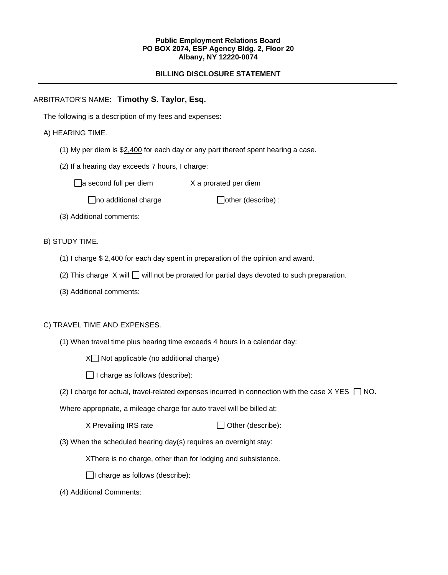#### **Public Employment Relations Board PO BOX 2074, ESP Agency Bldg. 2, Floor 20 Albany, NY 12220-0074**

### **BILLING DISCLOSURE STATEMENT**

### ARBITRATOR'S NAME: **Timothy S. Taylor, Esq.**

The following is a description of my fees and expenses:

### A) HEARING TIME.

- (1) My per diem is  $$2,400$  for each day or any part thereof spent hearing a case.
- (2) If a hearing day exceeds 7 hours, I charge:

 $\Box$ a second full per diem  $X$  a prorated per diem

 $\Box$ no additional charge  $\Box$ other (describe) :

(3) Additional comments:

B) STUDY TIME.

- (1) I charge  $$ 2,400$  for each day spent in preparation of the opinion and award.
- (2) This charge  $X$  will  $\Box$  will not be prorated for partial days devoted to such preparation.
- (3) Additional comments:

### C) TRAVEL TIME AND EXPENSES.

(1) When travel time plus hearing time exceeds 4 hours in a calendar day:

 $X \square$  Not applicable (no additional charge)

 $\Box$  I charge as follows (describe):

(2) I charge for actual, travel-related expenses incurred in connection with the case  $X$  YES  $\Box$  NO.

Where appropriate, a mileage charge for auto travel will be billed at:

 $X$  Prevailing IRS rate  $\Box$  Other (describe):

(3) When the scheduled hearing day(s) requires an overnight stay:

XThere is no charge, other than for lodging and subsistence.

 $\Box$ I charge as follows (describe):

(4) Additional Comments: